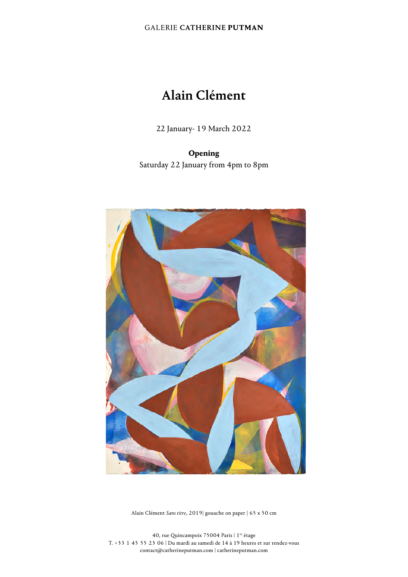### GALERIE CATHERINE **PUTMAN**

# Alain Clément

22 January- 19 March 2022

## **Opening**

Saturday 22 January from 4pm to 8pm



Alain Clément *Sans titre*, 2019| gouache on paper | 65 x 50 cm

40, rue Quincampoix 75004 Paris  $\mid$  1er étage T. +33 1 45 55 23 06 | Du mardi au samedi de 14 à 19 heures et sur rendez-vous contact@catherineputman.com | catherineputman.com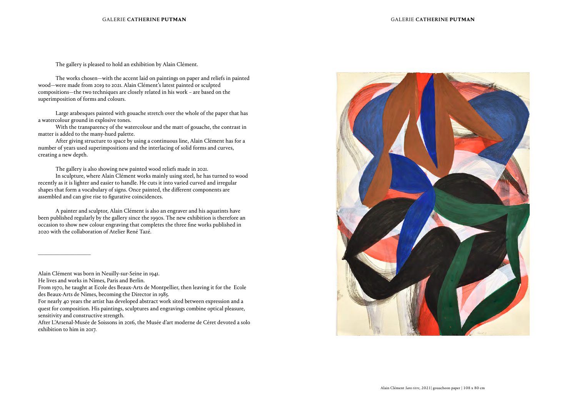The gallery is pleased to hold an exhibition by Alain Clément.

The works chosen—with the accent laid on paintings on paper and reliefs in painted wood—were made from 2019 to 2021. Alain Clément's latest painted or sculpted compositions—the two techniques are closely related in his work – are based on the superimposition of forms and colours.

Large arabesques painted with gouache stretch over the whole of the paper that has a watercolour ground in explosive tones.

With the transparency of the watercolour and the matt of gouache, the contrast in matter is added to the many-hued palette.

After giving structure to space by using a continuous line, Alain Clément has for a number of years used superimpositions and the interlacing of solid forms and curves, creating a new depth.

The gallery is also showing new painted wood reliefs made in 2021.

In sculpture, where Alain Clément works mainly using steel, he has turned to wood recently as it is lighter and easier to handle. He cuts it into varied curved and irregular shapes that form a vocabulary of signs. Once painted, the different components are assembled and can give rise to figurative coincidences.

A painter and sculptor, Alain Clément is also an engraver and his aquatints have been published regularly by the gallery since the 1990s. The new exhibition is therefore an occasion to show new colour engraving that completes the three fine works published in 2020 with the collaboration of Atelier René Tazé.

\_\_\_\_\_\_\_\_\_\_\_\_\_\_\_\_\_\_\_



Alain Clément was born in Neuilly-sur-Seine in 1941.

He lives and works in Nîmes, Paris and Berlin.

From 1970, he taught at Ecole des Beaux-Arts de Montpellier, then leaving it for the Ecole des Beaux-Arts de Nîmes, becoming the Director in 1985.

For nearly 40 years the artist has developed abstract work sited between expression and a quest for composition. His paintings, sculptures and engravings combine optical pleasure, sensitivity and constructive strength.

After L'Arsenal-Musée de Soissons in 2016, the Musée d'art moderne de Céret devoted a solo exhibition to him in 2017.